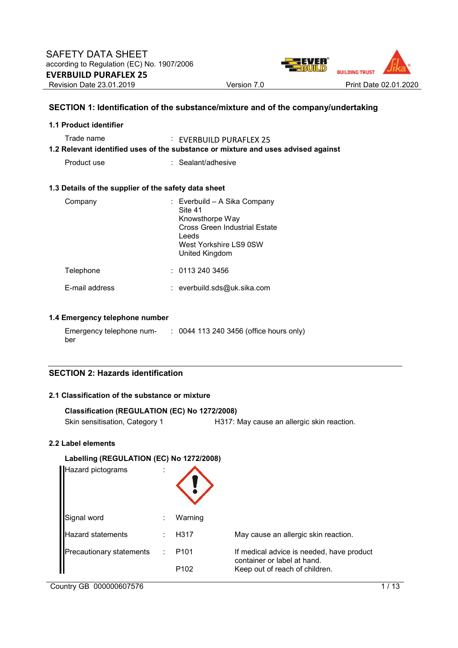

## **SECTION 1: Identification of the substance/mixture and of the company/undertaking**

| 1.1 Product identifier                               |                                                                                                                                                         |
|------------------------------------------------------|---------------------------------------------------------------------------------------------------------------------------------------------------------|
| Trade name                                           | : EVERBUILD PURAFLEX 25<br>1.2 Relevant identified uses of the substance or mixture and uses advised against                                            |
| Product use                                          | $:$ Sealant/adhesive                                                                                                                                    |
| 1.3 Details of the supplier of the safety data sheet |                                                                                                                                                         |
| Company                                              | : Everbuild - A Sika Company<br>Site 41<br>Knowsthorpe Way<br><b>Cross Green Industrial Estate</b><br>Leeds<br>West Yorkshire LS9 0SW<br>United Kingdom |
| Telephone                                            | : 01132403456                                                                                                                                           |
| E-mail address                                       | : everbuild.sds@uk.sika.com                                                                                                                             |

#### **1.4 Emergency telephone number**

| Emergency telephone num- | : 0044 113 240 3456 (office hours only) |
|--------------------------|-----------------------------------------|
| ber                      |                                         |

## **SECTION 2: Hazards identification**

#### **2.1 Classification of the substance or mixture**

```
Classification (REGULATION (EC) No 1272/2008)
```
Skin sensitisation, Category 1 H317: May cause an allergic skin reaction.

## **2.2 Label elements**

## **Labelling (REGULATION (EC) No 1272/2008)**

| Hazard pictograms               |                   |                                                                          |
|---------------------------------|-------------------|--------------------------------------------------------------------------|
| Signal word                     | Warning           |                                                                          |
| <b>Hazard statements</b>        | H <sub>3</sub> 17 | May cause an allergic skin reaction.                                     |
| <b>Precautionary statements</b> | P <sub>101</sub>  | If medical advice is needed, have product<br>container or label at hand. |
|                                 | P <sub>102</sub>  | Keep out of reach of children.                                           |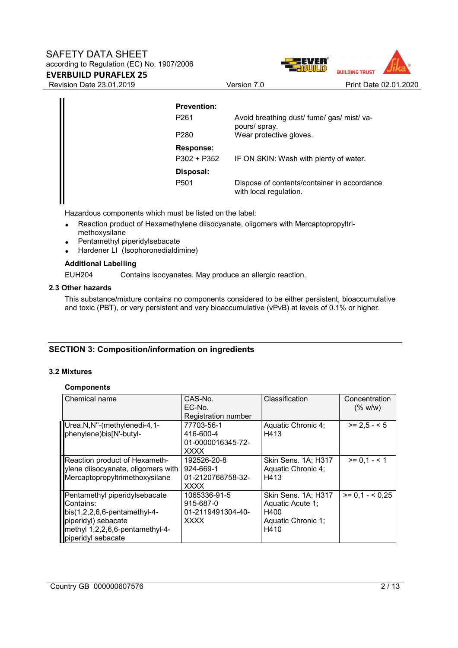## SAFETY DATA SHEET according to Regulation (EC) No. 1907/2006

**EVERBUILD PURAFLEX 25** 



| <b>Prevention:</b> |                                                                       |
|--------------------|-----------------------------------------------------------------------|
| P <sub>261</sub>   | Avoid breathing dust/ fume/ gas/ mist/ va-<br>pours/ spray.           |
| P <sub>280</sub>   | Wear protective gloves.                                               |
| <b>Response:</b>   |                                                                       |
| $P302 + P352$      | IF ON SKIN: Wash with plenty of water.                                |
| Disposal:          |                                                                       |
| P <sub>501</sub>   | Dispose of contents/container in accordance<br>with local regulation. |

Hazardous components which must be listed on the label:

- Reaction product of Hexamethylene diisocyanate, oligomers with Mercaptopropyltrimethoxysilane
- Pentamethyl piperidylsebacate
- Hardener LI (Isophoronedialdimine)

## **Additional Labelling**

EUH204 Contains isocyanates. May produce an allergic reaction.

#### **2.3 Other hazards**

This substance/mixture contains no components considered to be either persistent, bioaccumulative and toxic (PBT), or very persistent and very bioaccumulative (vPvB) at levels of 0.1% or higher.

## **SECTION 3: Composition/information on ingredients**

## **3.2 Mixtures**

## **Components**

| Chemical name                      | CAS-No.             | Classification      | Concentration   |
|------------------------------------|---------------------|---------------------|-----------------|
|                                    | EC-No.              |                     | (% w/w)         |
|                                    | Registration number |                     |                 |
| Urea, N, N"-(methylenedi-4, 1-     | 77703-56-1          | Aquatic Chronic 4;  | $>= 2.5 - 5$    |
| phenylene)bis[N'-butyl-            | 416-600-4           | H413                |                 |
|                                    | 01-0000016345-72-   |                     |                 |
|                                    | <b>XXXX</b>         |                     |                 |
| Reaction product of Hexameth-      | 192526-20-8         | Skin Sens. 1A; H317 | $>= 0.1 - 1$    |
| ylene diisocyanate, oligomers with | 924-669-1           | Aquatic Chronic 4;  |                 |
| Mercaptopropyltrimethoxysilane     | 01-2120768758-32-   | H413                |                 |
|                                    | <b>XXXX</b>         |                     |                 |
| Pentamethyl piperidylsebacate      | 1065336-91-5        | Skin Sens. 1A; H317 | $>= 0.1 - 0.25$ |
| Contains:                          | 915-687-0           | Aquatic Acute 1;    |                 |
| $bis(1,2,2,6,6-pentamethyl-4-$     | 01-2119491304-40-   | H400                |                 |
| piperidyl) sebacate                | <b>XXXX</b>         | Aquatic Chronic 1;  |                 |
| methyl 1,2,2,6,6-pentamethyl-4-    |                     | H410                |                 |
| piperidyl sebacate                 |                     |                     |                 |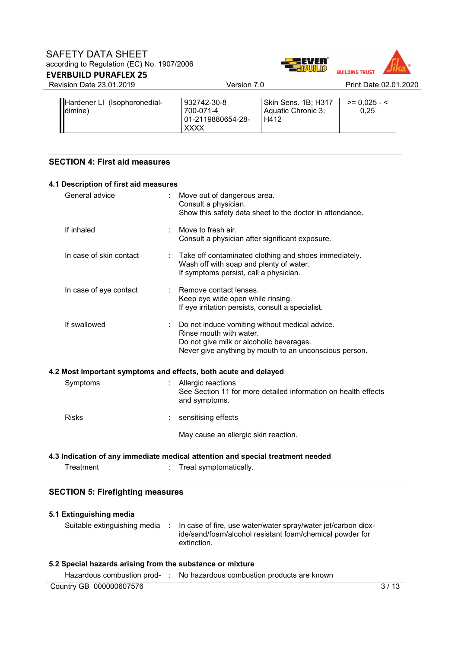



| Hardener LI (Isophoronedial- | 932742-30-8        | <b>Skin Sens. 1B; H317</b> | $>= 0.025 - 5$ |
|------------------------------|--------------------|----------------------------|----------------|
| dimine)                      | 700-071-4          | Aquatic Chronic 3:         | 0.25           |
|                              | 101-2119880654-28- | H412                       |                |
|                              | <b>XXXX</b>        |                            |                |

## **SECTION 4: First aid measures**

| 4.1 Description of first aid measures                           |                                                                                                                                                                                 |
|-----------------------------------------------------------------|---------------------------------------------------------------------------------------------------------------------------------------------------------------------------------|
| General advice                                                  | Move out of dangerous area.<br>Consult a physician.<br>Show this safety data sheet to the doctor in attendance.                                                                 |
| If inhaled                                                      | Move to fresh air.<br>Consult a physician after significant exposure.                                                                                                           |
| In case of skin contact                                         | Take off contaminated clothing and shoes immediately.<br>Wash off with soap and plenty of water.<br>If symptoms persist, call a physician.                                      |
| In case of eye contact                                          | Remove contact lenses.<br>Keep eye wide open while rinsing.<br>If eye irritation persists, consult a specialist.                                                                |
| If swallowed                                                    | Do not induce vomiting without medical advice.<br>Rinse mouth with water.<br>Do not give milk or alcoholic beverages.<br>Never give anything by mouth to an unconscious person. |
| 4.2 Most important symptoms and effects, both acute and delayed |                                                                                                                                                                                 |
| Symptoms                                                        | Allergic reactions<br>See Section 11 for more detailed information on health effects<br>and symptoms.                                                                           |
| <b>Risks</b>                                                    | sensitising effects                                                                                                                                                             |
|                                                                 | May cause an allergic skin reaction.                                                                                                                                            |
|                                                                 | 4.3 Indication of any immediate medical attention and special treatment needed                                                                                                  |
| Treatment                                                       | Treat symptomatically.                                                                                                                                                          |

## **SECTION 5: Firefighting measures**

| 5.1 Extinguishing media<br>Suitable extinguishing media   | In case of fire, use water/water spray/water jet/carbon diox-<br>ide/sand/foam/alcohol resistant foam/chemical powder for<br>extinction. |
|-----------------------------------------------------------|------------------------------------------------------------------------------------------------------------------------------------------|
| 5.2 Special hazards arising from the substance or mixture |                                                                                                                                          |

|  |  | Hazardous combustion prod- : No hazardous combustion products are known |
|--|--|-------------------------------------------------------------------------|
|--|--|-------------------------------------------------------------------------|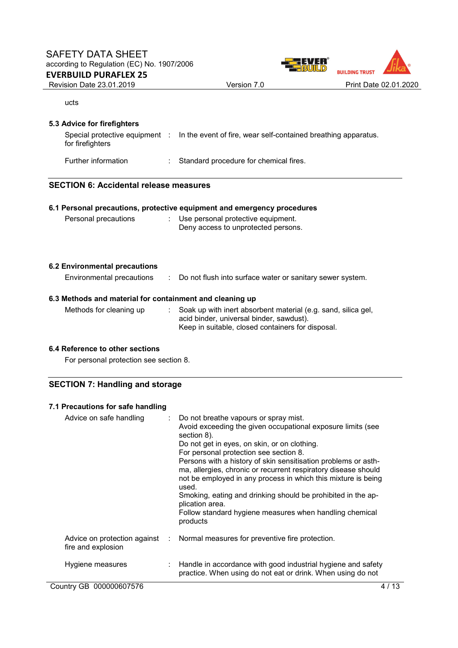## SAFETY DATA SHEET according to Regulation (EC) No. 1907/2006 **EVERBUILD PURAFLEX 25**



#### ucts

## **5.3 Advice for firefighters**

| for firefighters    | Special protective equipment : In the event of fire, wear self-contained breathing apparatus. |
|---------------------|-----------------------------------------------------------------------------------------------|
| Further information | : Standard procedure for chemical fires.                                                      |

# **SECTION 6: Accidental release measures**

## **6.1 Personal precautions, protective equipment and emergency procedures**

| Personal precautions | Use personal protective equipment.  |
|----------------------|-------------------------------------|
|                      | Deny access to unprotected persons. |

#### **6.2 Environmental precautions**

|  | Environmental precautions : Do not flush into surface water or sanitary sewer system. |
|--|---------------------------------------------------------------------------------------|
|--|---------------------------------------------------------------------------------------|

## **6.3 Methods and material for containment and cleaning up**

| Methods for cleaning up | Soak up with inert absorbent material (e.g. sand, silica gel, |
|-------------------------|---------------------------------------------------------------|
|                         | acid binder, universal binder, sawdust).                      |
|                         | Keep in suitable, closed containers for disposal.             |

## **6.4 Reference to other sections**

For personal protection see section 8.

## **SECTION 7: Handling and storage**

### **7.1 Precautions for safe handling**

| Advice on safe handling                              | : Do not breathe vapours or spray mist.<br>Avoid exceeding the given occupational exposure limits (see<br>section 8).<br>Do not get in eyes, on skin, or on clothing.<br>For personal protection see section 8.<br>Persons with a history of skin sensitisation problems or asth-<br>ma, allergies, chronic or recurrent respiratory disease should<br>not be employed in any process in which this mixture is being<br>used.<br>Smoking, eating and drinking should be prohibited in the ap-<br>plication area.<br>Follow standard hygiene measures when handling chemical<br>products |
|------------------------------------------------------|-----------------------------------------------------------------------------------------------------------------------------------------------------------------------------------------------------------------------------------------------------------------------------------------------------------------------------------------------------------------------------------------------------------------------------------------------------------------------------------------------------------------------------------------------------------------------------------------|
| Advice on protection against :<br>fire and explosion | Normal measures for preventive fire protection.                                                                                                                                                                                                                                                                                                                                                                                                                                                                                                                                         |
| Hygiene measures                                     | Handle in accordance with good industrial hygiene and safety<br>practice. When using do not eat or drink. When using do not                                                                                                                                                                                                                                                                                                                                                                                                                                                             |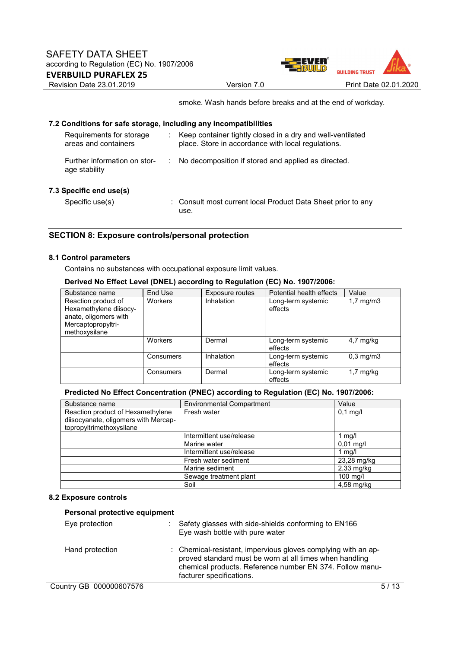

smoke. Wash hands before breaks and at the end of workday.

#### **7.2 Conditions for safe storage, including any incompatibilities**

| Requirements for storage<br>areas and containers | Keep container tightly closed in a dry and well-ventilated<br>place. Store in accordance with local regulations. |
|--------------------------------------------------|------------------------------------------------------------------------------------------------------------------|
| Further information on stor-<br>age stability    | : No decomposition if stored and applied as directed.                                                            |
| 7.3 Specific end use(s)                          |                                                                                                                  |
| Conacifio <sub>1</sub> (o)                       | Concult most ourrant local Draduat Data Chest prior to any                                                       |

Specific use(s) : Consult most current local Product Data Sheet prior to any use.

## **SECTION 8: Exposure controls/personal protection**

#### **8.1 Control parameters**

Contains no substances with occupational exposure limit values.

#### **Derived No Effect Level (DNEL) according to Regulation (EC) No. 1907/2006:**

| Substance name                                                                                                | End Use   | Exposure routes | Potential health effects      | Value                |
|---------------------------------------------------------------------------------------------------------------|-----------|-----------------|-------------------------------|----------------------|
| Reaction product of<br>Hexamethylene diisocy-<br>anate, oligomers with<br>Mercaptopropyltri-<br>methoxysilane | Workers   | Inhalation      | Long-term systemic<br>effects | $1.7 \text{ mg/m}$ 3 |
|                                                                                                               | Workers   | Dermal          | Long-term systemic<br>effects | $4.7 \text{ mg/kg}$  |
|                                                                                                               | Consumers | Inhalation      | Long-term systemic<br>effects | $0.3$ mg/m $3$       |
|                                                                                                               | Consumers | Dermal          | Long-term systemic<br>effects | $1.7 \text{ mg/kg}$  |

#### **Predicted No Effect Concentration (PNEC) according to Regulation (EC) No. 1907/2006:**

| Substance name                       | <b>Environmental Compartment</b> | Value        |
|--------------------------------------|----------------------------------|--------------|
| Reaction product of Hexamethylene    | Fresh water                      | $0,1$ mg/l   |
| diisocyanate, oligomers with Mercap- |                                  |              |
| topropyltrimethoxysilane             |                                  |              |
|                                      | Intermittent use/release         | 1 mg/l       |
|                                      | Marine water                     | $0.01$ mg/l  |
|                                      | Intermittent use/release         | 1 mg/l       |
|                                      | Fresh water sediment             | 23,28 mg/kg  |
|                                      | Marine sediment                  | $2,33$ mg/kg |
|                                      | Sewage treatment plant           | 100 mg/l     |
|                                      | Soil                             | 4,58 mg/kg   |

#### **8.2 Exposure controls**

| Personal protective equipment |  |                                                                                                                                                                                                                  |  |  |  |
|-------------------------------|--|------------------------------------------------------------------------------------------------------------------------------------------------------------------------------------------------------------------|--|--|--|
| Eye protection                |  | : Safety glasses with side-shields conforming to EN166<br>Eye wash bottle with pure water                                                                                                                        |  |  |  |
| Hand protection               |  | : Chemical-resistant, impervious gloves complying with an ap-<br>proved standard must be worn at all times when handling<br>chemical products. Reference number EN 374. Follow manu-<br>facturer specifications. |  |  |  |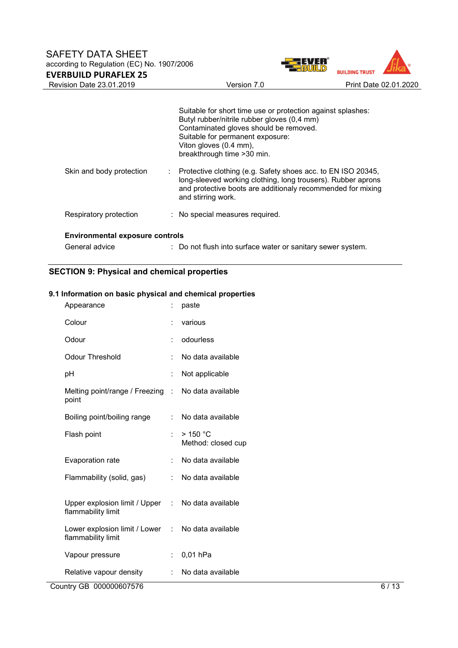

|                                        |  | Suitable for short time use or protection against splashes:<br>Butyl rubber/nitrile rubber gloves (0,4 mm)<br>Contaminated gloves should be removed.<br>Suitable for permanent exposure:<br>Viton gloves (0.4 mm),<br>breakthrough time > 30 min. |  |  |
|----------------------------------------|--|---------------------------------------------------------------------------------------------------------------------------------------------------------------------------------------------------------------------------------------------------|--|--|
| Skin and body protection               |  | : Protective clothing (e.g. Safety shoes acc. to EN ISO 20345,<br>long-sleeved working clothing, long trousers). Rubber aprons<br>and protective boots are additionaly recommended for mixing<br>and stirring work.                               |  |  |
| Respiratory protection                 |  | : No special measures required.                                                                                                                                                                                                                   |  |  |
| <b>Environmental exposure controls</b> |  |                                                                                                                                                                                                                                                   |  |  |
| General advice                         |  | : Do not flush into surface water or sanitary sewer system.                                                                                                                                                                                       |  |  |

## **SECTION 9: Physical and chemical properties**

## **9.1 Information on basic physical and chemical properties**

| Appearance                                                              |    | paste                            |      |
|-------------------------------------------------------------------------|----|----------------------------------|------|
| Colour                                                                  |    | various                          |      |
| Odour                                                                   |    | odourless                        |      |
| <b>Odour Threshold</b>                                                  |    | No data available                |      |
| pH                                                                      |    | Not applicable                   |      |
| Melting point/range / Freezing : No data available<br>point             |    |                                  |      |
| Boiling point/boiling range                                             | ÷  | No data available                |      |
| Flash point                                                             | ÷  | $>$ 150 °C<br>Method: closed cup |      |
| Evaporation rate                                                        |    | No data available                |      |
| Flammability (solid, gas)                                               | ÷  | No data available                |      |
| Upper explosion limit / Upper : No data available<br>flammability limit |    |                                  |      |
| Lower explosion limit / Lower : No data available<br>flammability limit |    |                                  |      |
| Vapour pressure                                                         | ÷. | $0,01$ hPa                       |      |
| Relative vapour density                                                 |    | No data available                |      |
| Country GB 000000607576                                                 |    |                                  | 6/13 |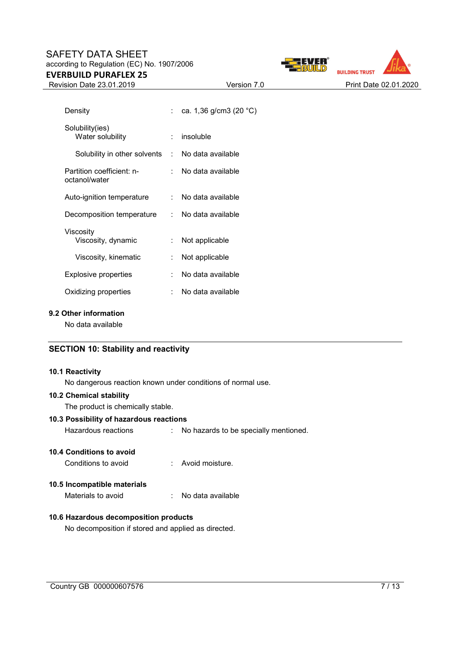## SAFETY DATA SHEET according to Regulation (EC) No. 1907/2006 **EVERBUILD PURAFLEX 25**



| Density                                          |    | ca. 1,36 g/cm3 (20 °C) |
|--------------------------------------------------|----|------------------------|
| Solubility(ies)<br>Water solubility              |    | insoluble              |
| Solubility in other solvents : No data available |    |                        |
| Partition coefficient: n-<br>octanol/water       |    | No data available      |
| Auto-ignition temperature                        |    | No data available      |
| Decomposition temperature                        |    | : No data available    |
| Viscosity                                        |    |                        |
| Viscosity, dynamic                               |    | Not applicable         |
| Viscosity, kinematic                             |    | Not applicable         |
| Explosive properties                             |    | No data available      |
| Oxidizing properties                             | ÷. | No data available      |

## **9.2 Other information**

No data available

## **SECTION 10: Stability and reactivity**

#### **10.1 Reactivity**

No dangerous reaction known under conditions of normal use.

#### **10.2 Chemical stability**

The product is chemically stable.

## **10.3 Possibility of hazardous reactions**

Hazardous reactions : No hazards to be specially mentioned.

#### **10.4 Conditions to avoid**

Conditions to avoid : Avoid moisture.

## **10.5 Incompatible materials**

Materials to avoid : No data available

## **10.6 Hazardous decomposition products**

No decomposition if stored and applied as directed.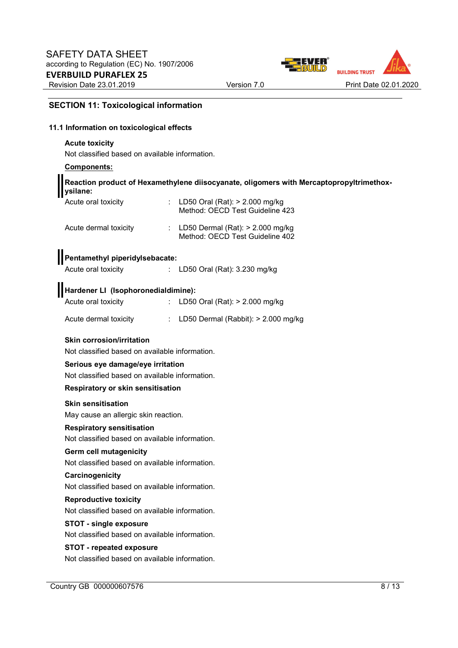

## **SECTION 11: Toxicological information**

#### **11.1 Information on toxicological effects**

#### **Acute toxicity**

Not classified based on available information.

#### **Components:**

| Reaction product of Hexamethylene diisocyanate, oligomers with Mercaptopropyltrimethox- |  |  |
|-----------------------------------------------------------------------------------------|--|--|
| vsilane:                                                                                |  |  |
|                                                                                         |  |  |

| Acute oral toxicity   | : LD50 Oral (Rat): $> 2.000$ mg/kg<br>Method: OECD Test Guideline 423   |
|-----------------------|-------------------------------------------------------------------------|
| Acute dermal toxicity | : LD50 Dermal $(Rat):$ > 2.000 mg/kg<br>Method: OECD Test Guideline 402 |

#### **Pentamethyl piperidylsebacate:**

Acute oral toxicity : LD50 Oral (Rat): 3.230 mg/kg

# **Hardener LI (Isophoronedialdimine):**

| Acute oral toxicity   | : LD50 Oral (Rat): $> 2.000$ mg/kg      |
|-----------------------|-----------------------------------------|
| Acute dermal toxicity | : LD50 Dermal (Rabbit): $> 2.000$ mg/kg |

#### **Skin corrosion/irritation**

Not classified based on available information.

#### **Serious eye damage/eye irritation**

Not classified based on available information.

#### **Respiratory or skin sensitisation**

#### **Skin sensitisation**

May cause an allergic skin reaction.

#### **Respiratory sensitisation**

Not classified based on available information.

#### **Germ cell mutagenicity**

Not classified based on available information.

#### **Carcinogenicity**

Not classified based on available information.

#### **Reproductive toxicity**

Not classified based on available information.

#### **STOT - single exposure**

Not classified based on available information.

#### **STOT - repeated exposure**

Not classified based on available information.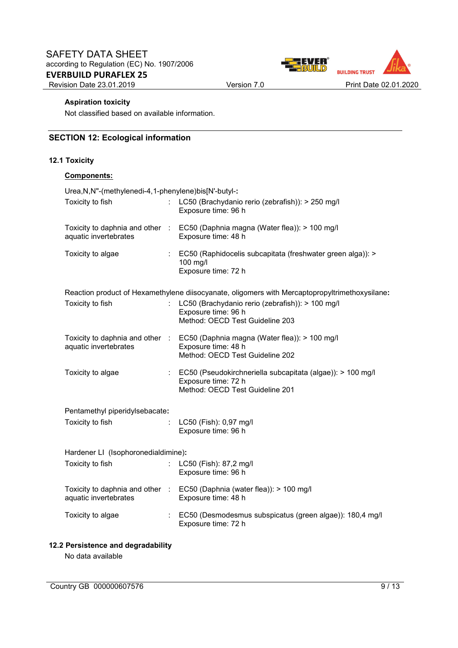

## **Aspiration toxicity**

Not classified based on available information.

## **SECTION 12: Ecological information**

#### **12.1 Toxicity**

| Components:                                              |    |                                                                                                                                         |  |
|----------------------------------------------------------|----|-----------------------------------------------------------------------------------------------------------------------------------------|--|
| Urea, N, N"-(methylenedi-4, 1-phenylene) bis [N'-butyl-: |    |                                                                                                                                         |  |
| Toxicity to fish                                         |    | : LC50 (Brachydanio rerio (zebrafish)): > 250 mg/l<br>Exposure time: 96 h                                                               |  |
| aquatic invertebrates                                    |    | Toxicity to daphnia and other : EC50 (Daphnia magna (Water flea)): > 100 mg/l<br>Exposure time: 48 h                                    |  |
| Toxicity to algae                                        |    | EC50 (Raphidocelis subcapitata (freshwater green alga)): ><br>100 mg/l<br>Exposure time: 72 h                                           |  |
|                                                          |    | Reaction product of Hexamethylene diisocyanate, oligomers with Mercaptopropyltrimethoxysilane:                                          |  |
| Toxicity to fish                                         | t. | LC50 (Brachydanio rerio (zebrafish)): > 100 mg/l<br>Exposure time: 96 h<br>Method: OECD Test Guideline 203                              |  |
| aquatic invertebrates                                    |    | Toxicity to daphnia and other : EC50 (Daphnia magna (Water flea)): > 100 mg/l<br>Exposure time: 48 h<br>Method: OECD Test Guideline 202 |  |
| Toxicity to algae                                        |    | : EC50 (Pseudokirchneriella subcapitata (algae)): > 100 mg/l<br>Exposure time: 72 h<br>Method: OECD Test Guideline 201                  |  |
| Pentamethyl piperidylsebacate:                           |    |                                                                                                                                         |  |
| Toxicity to fish                                         |    | : LC50 (Fish): 0,97 mg/l<br>Exposure time: 96 h                                                                                         |  |
| Hardener LI (Isophoronedialdimine):                      |    |                                                                                                                                         |  |
| Toxicity to fish                                         |    | LC50 (Fish): 87,2 mg/l<br>Exposure time: 96 h                                                                                           |  |
| aquatic invertebrates                                    |    | Toxicity to daphnia and other : EC50 (Daphnia (water flea)): > 100 mg/l<br>Exposure time: 48 h                                          |  |
| Toxicity to algae                                        |    | EC50 (Desmodesmus subspicatus (green algae)): 180,4 mg/l<br>Exposure time: 72 h                                                         |  |

## **12.2 Persistence and degradability**

No data available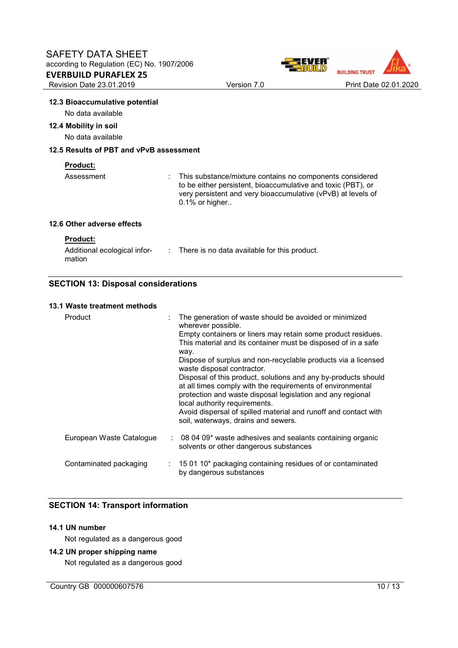

#### **12.3 Bioaccumulative potential**

No data available

#### **12.4 Mobility in soil**

No data available

## **12.5 Results of PBT and vPvB assessment**

#### **Product:**

| Assessment | : This substance/mixture contains no components considered<br>to be either persistent, bioaccumulative and toxic (PBT), or<br>very persistent and very bioaccumulative (vPvB) at levels of<br>$0.1\%$ or higher |
|------------|-----------------------------------------------------------------------------------------------------------------------------------------------------------------------------------------------------------------|
|            |                                                                                                                                                                                                                 |

## **12.6 Other adverse effects**

|--|

| Additional ecological infor- | : There is no data available for this product. |
|------------------------------|------------------------------------------------|
| mation                       |                                                |

## **SECTION 13: Disposal considerations**

#### **13.1 Waste treatment methods**

| Product                  | The generation of waste should be avoided or minimized<br>wherever possible.<br>Empty containers or liners may retain some product residues.<br>This material and its container must be disposed of in a safe<br>way.<br>Dispose of surplus and non-recyclable products via a licensed<br>waste disposal contractor.<br>Disposal of this product, solutions and any by-products should<br>at all times comply with the requirements of environmental<br>protection and waste disposal legislation and any regional<br>local authority requirements.<br>Avoid dispersal of spilled material and runoff and contact with<br>soil, waterways, drains and sewers. |
|--------------------------|---------------------------------------------------------------------------------------------------------------------------------------------------------------------------------------------------------------------------------------------------------------------------------------------------------------------------------------------------------------------------------------------------------------------------------------------------------------------------------------------------------------------------------------------------------------------------------------------------------------------------------------------------------------|
| European Waste Catalogue | $\therefore$ 08 04 09* waste adhesives and sealants containing organic<br>solvents or other dangerous substances                                                                                                                                                                                                                                                                                                                                                                                                                                                                                                                                              |
| Contaminated packaging   | 15 01 10* packaging containing residues of or contaminated<br>by dangerous substances                                                                                                                                                                                                                                                                                                                                                                                                                                                                                                                                                                         |

## **SECTION 14: Transport information**

#### **14.1 UN number**

Not regulated as a dangerous good

## **14.2 UN proper shipping name**

Not regulated as a dangerous good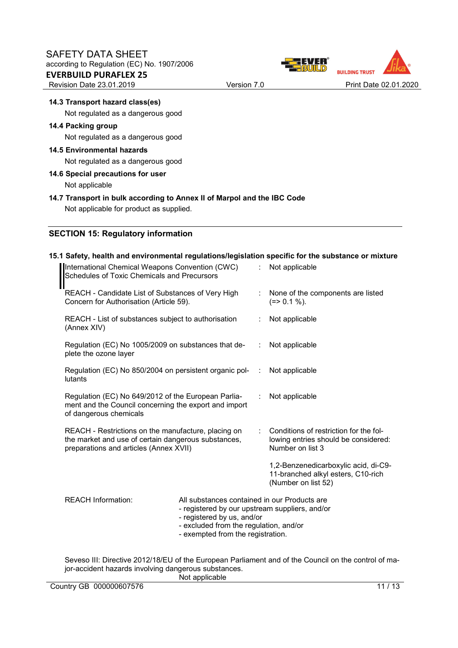

#### **14.3 Transport hazard class(es)**

Not regulated as a dangerous good

#### **14.4 Packing group**

Not regulated as a dangerous good

#### **14.5 Environmental hazards**

Not regulated as a dangerous good

## **14.6 Special precautions for user**

Not applicable

#### **14.7 Transport in bulk according to Annex II of Marpol and the IBC Code**

Not applicable for product as supplied.

## **SECTION 15: Regulatory information**

#### **15.1 Safety, health and environmental regulations/legislation specific for the substance or mixture**  International Chemical Weapons Convention (CWC) Schedules of Toxic Chemicals and Precursors : Not applicable REACH - Candidate List of Substances of Very High Concern for Authorisation (Article 59). : None of the components are listed  $(=> 0.1 \%)$ . REACH - List of substances subject to authorisation (Annex XIV) : Not applicable Regulation (EC) No 1005/2009 on substances that deplete the ozone layer : Not applicable Regulation (EC) No 850/2004 on persistent organic pollutants : Not applicable Regulation (EC) No 649/2012 of the European Parliament and the Council concerning the export and import of dangerous chemicals Not applicable REACH - Restrictions on the manufacture, placing on the market and use of certain dangerous substances, preparations and articles (Annex XVII) : Conditions of restriction for the following entries should be considered: Number on list 3 1,2-Benzenedicarboxylic acid, di-C9- 11-branched alkyl esters, C10-rich (Number on list 52) REACH Information: All substances contained in our Products are - registered by our upstream suppliers, and/or - registered by us, and/or - excluded from the regulation, and/or

- exempted from the registration.

Seveso III: Directive 2012/18/EU of the European Parliament and of the Council on the control of major-accident hazards involving dangerous substances. Not applicable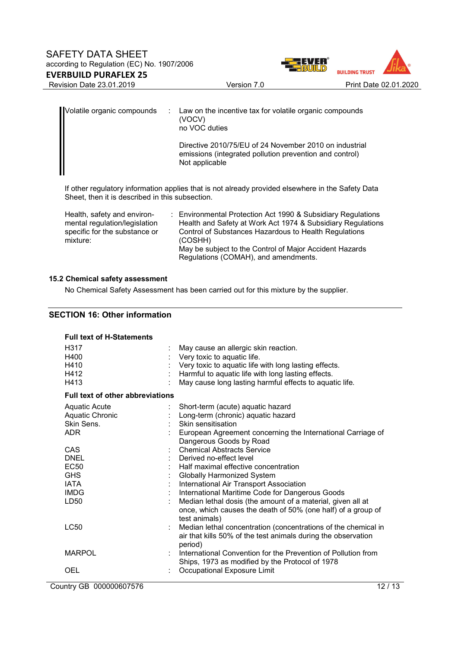

| Volatile organic compounds | Law on the incentive tax for volatile organic compounds<br>(VOCV)<br>no VOC duties                                                  |
|----------------------------|-------------------------------------------------------------------------------------------------------------------------------------|
|                            | Directive 2010/75/EU of 24 November 2010 on industrial<br>emissions (integrated pollution prevention and control)<br>Not applicable |

If other regulatory information applies that is not already provided elsewhere in the Safety Data Sheet, then it is described in this subsection.

| Health, safety and environ-   | : Environmental Protection Act 1990 & Subsidiary Regulations |
|-------------------------------|--------------------------------------------------------------|
| mental regulation/legislation | Health and Safety at Work Act 1974 & Subsidiary Regulations  |
| specific for the substance or | Control of Substances Hazardous to Health Regulations        |
| mixture:                      | (COSHH)                                                      |
|                               | May be subject to the Control of Major Accident Hazards      |
|                               | Regulations (COMAH), and amendments.                         |

#### **15.2 Chemical safety assessment**

No Chemical Safety Assessment has been carried out for this mixture by the supplier.

## **SECTION 16: Other information**

| <b>Full text of H-Statements</b>                              |                                                                                                                                                                                                                                               |
|---------------------------------------------------------------|-----------------------------------------------------------------------------------------------------------------------------------------------------------------------------------------------------------------------------------------------|
| H <sub>3</sub> 17<br>H400<br>H410<br>H412<br>H413             | May cause an allergic skin reaction.<br>Very toxic to aquatic life.<br>Very toxic to aquatic life with long lasting effects.<br>Harmful to aquatic life with long lasting effects.<br>May cause long lasting harmful effects to aquatic life. |
| <b>Full text of other abbreviations</b>                       |                                                                                                                                                                                                                                               |
| Aquatic Acute<br><b>Aquatic Chronic</b><br>Skin Sens.<br>ADR. | Short-term (acute) aquatic hazard<br>Long-term (chronic) aquatic hazard<br>Skin sensitisation<br>European Agreement concerning the International Carriage of                                                                                  |
| CAS<br><b>DNEL</b><br><b>EC50</b>                             | Dangerous Goods by Road<br><b>Chemical Abstracts Service</b><br>Derived no-effect level<br>Half maximal effective concentration                                                                                                               |
| <b>GHS</b><br><b>IATA</b><br><b>IMDG</b>                      | <b>Globally Harmonized System</b><br>International Air Transport Association<br>International Maritime Code for Dangerous Goods                                                                                                               |
| LD50                                                          | Median lethal dosis (the amount of a material, given all at<br>once, which causes the death of 50% (one half) of a group of<br>test animals)                                                                                                  |
| <b>LC50</b>                                                   | Median lethal concentration (concentrations of the chemical in<br>air that kills 50% of the test animals during the observation<br>period)                                                                                                    |
| <b>MARPOL</b>                                                 | International Convention for the Prevention of Pollution from<br>Ships, 1973 as modified by the Protocol of 1978                                                                                                                              |
| OEL                                                           | Occupational Exposure Limit                                                                                                                                                                                                                   |

Country GB 000000607576 12 / 13